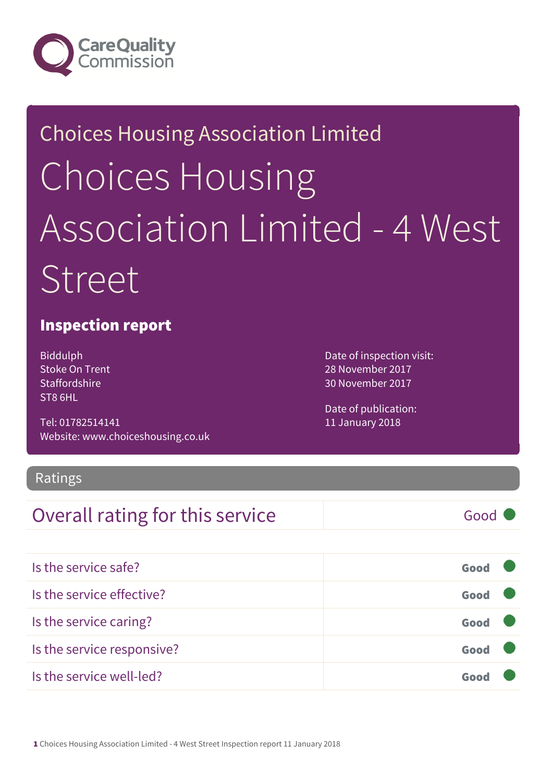

# Choices Housing Association Limited Choices Housing Association Limited - 4 West Street

#### Inspection report

Biddulph Stoke On Trent **Staffordshire** ST8 6HL

Tel: 01782514141 Website: www.choiceshousing.co.uk Date of inspection visit: 28 November 2017 30 November 2017

Date of publication: 11 January 2018

#### Ratings

### Overall rating for this service Fig. 600 Good

| Is the service safe?       | Good |  |
|----------------------------|------|--|
| Is the service effective?  | Good |  |
| Is the service caring?     | Good |  |
| Is the service responsive? | Good |  |
| Is the service well-led?   |      |  |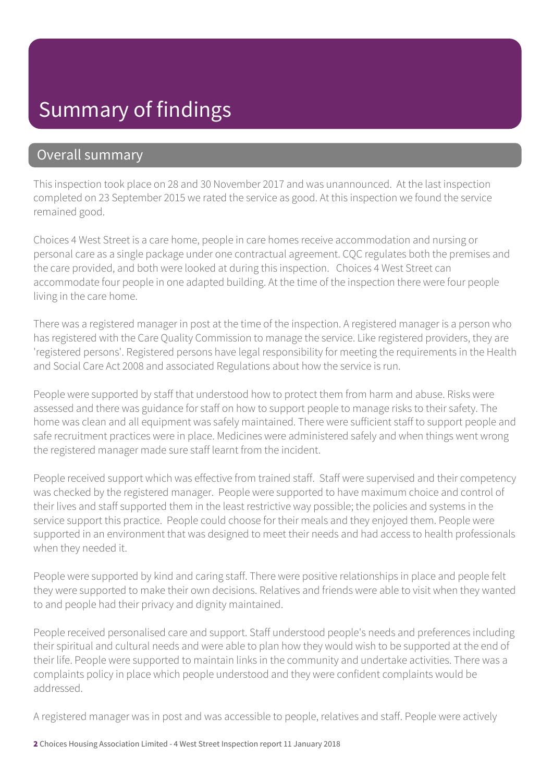# Summary of findings

#### Overall summary

This inspection took place on 28 and 30 November 2017 and was unannounced. At the last inspection completed on 23 September 2015 we rated the service as good. At this inspection we found the service remained good.

Choices 4 West Street is a care home, people in care homes receive accommodation and nursing or personal care as a single package under one contractual agreement. CQC regulates both the premises and the care provided, and both were looked at during this inspection. Choices 4 West Street can accommodate four people in one adapted building. At the time of the inspection there were four people living in the care home.

There was a registered manager in post at the time of the inspection. A registered manager is a person who has registered with the Care Quality Commission to manage the service. Like registered providers, they are 'registered persons'. Registered persons have legal responsibility for meeting the requirements in the Health and Social Care Act 2008 and associated Regulations about how the service is run.

People were supported by staff that understood how to protect them from harm and abuse. Risks were assessed and there was guidance for staff on how to support people to manage risks to their safety. The home was clean and all equipment was safely maintained. There were sufficient staff to support people and safe recruitment practices were in place. Medicines were administered safely and when things went wrong the registered manager made sure staff learnt from the incident.

People received support which was effective from trained staff. Staff were supervised and their competency was checked by the registered manager. People were supported to have maximum choice and control of their lives and staff supported them in the least restrictive way possible; the policies and systems in the service support this practice. People could choose for their meals and they enjoyed them. People were supported in an environment that was designed to meet their needs and had access to health professionals when they needed it.

People were supported by kind and caring staff. There were positive relationships in place and people felt they were supported to make their own decisions. Relatives and friends were able to visit when they wanted to and people had their privacy and dignity maintained.

People received personalised care and support. Staff understood people's needs and preferences including their spiritual and cultural needs and were able to plan how they would wish to be supported at the end of their life. People were supported to maintain links in the community and undertake activities. There was a complaints policy in place which people understood and they were confident complaints would be addressed.

A registered manager was in post and was accessible to people, relatives and staff. People were actively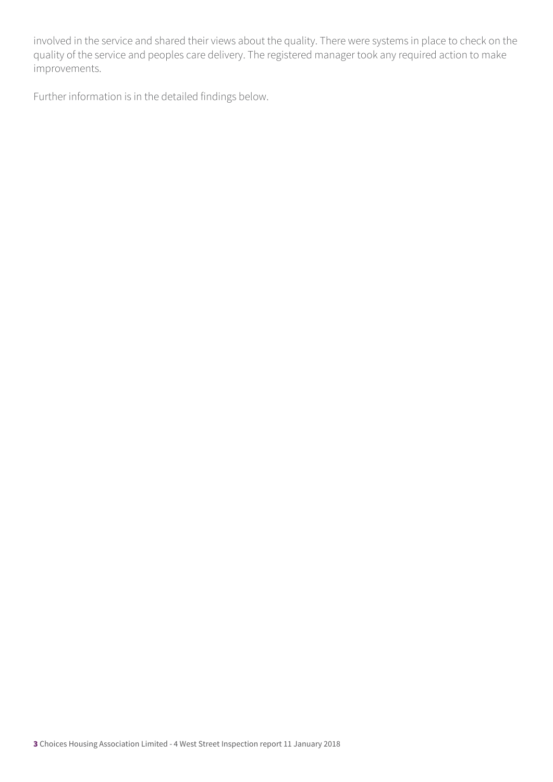involved in the service and shared their views about the quality. There were systems in place to check on the quality of the service and peoples care delivery. The registered manager took any required action to make improvements.

Further information is in the detailed findings below.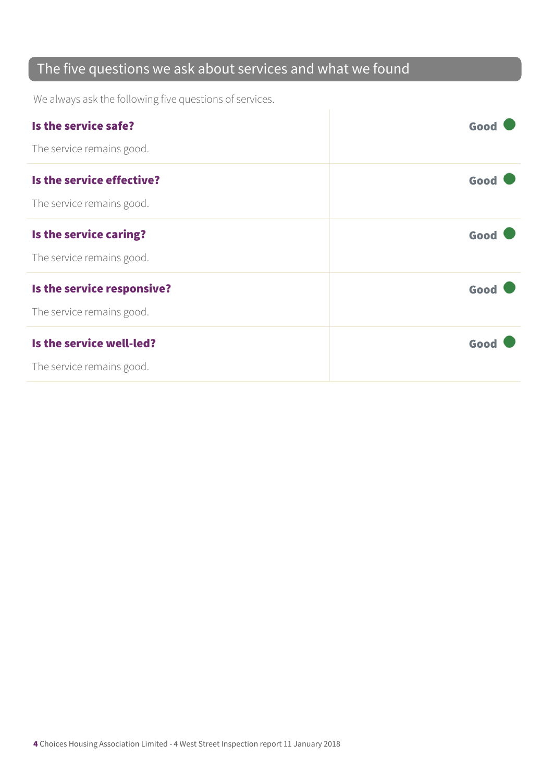### The five questions we ask about services and what we found

We always ask the following five questions of services.

| Is the service safe?       | Good |
|----------------------------|------|
| The service remains good.  |      |
| Is the service effective?  | Good |
| The service remains good.  |      |
| Is the service caring?     | Good |
| The service remains good.  |      |
| Is the service responsive? | Good |
| The service remains good.  |      |
| Is the service well-led?   | Good |
| The service remains good.  |      |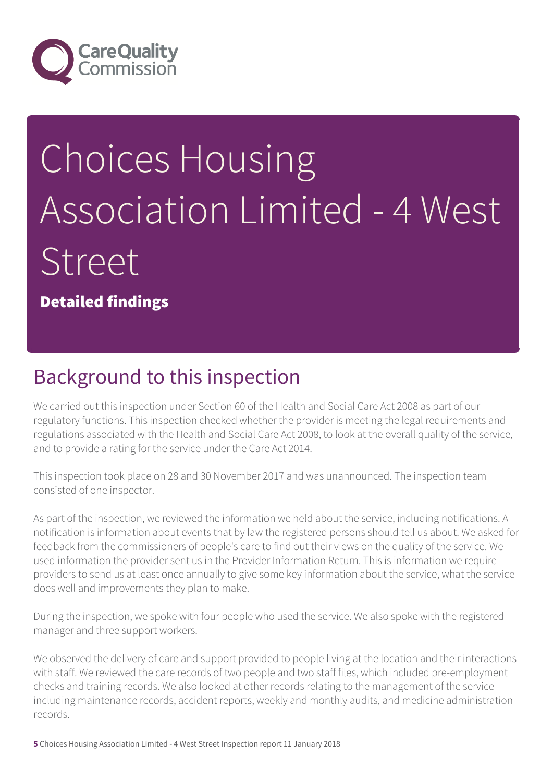

# Choices Housing Association Limited - 4 West **Street**

Detailed findings

# Background to this inspection

We carried out this inspection under Section 60 of the Health and Social Care Act 2008 as part of our regulatory functions. This inspection checked whether the provider is meeting the legal requirements and regulations associated with the Health and Social Care Act 2008, to look at the overall quality of the service, and to provide a rating for the service under the Care Act 2014.

This inspection took place on 28 and 30 November 2017 and was unannounced. The inspection team consisted of one inspector.

As part of the inspection, we reviewed the information we held about the service, including notifications. A notification is information about events that by law the registered persons should tell us about. We asked for feedback from the commissioners of people's care to find out their views on the quality of the service. We used information the provider sent us in the Provider Information Return. This is information we require providers to send us at least once annually to give some key information about the service, what the service does well and improvements they plan to make.

During the inspection, we spoke with four people who used the service. We also spoke with the registered manager and three support workers.

We observed the delivery of care and support provided to people living at the location and their interactions with staff. We reviewed the care records of two people and two staff files, which included pre-employment checks and training records. We also looked at other records relating to the management of the service including maintenance records, accident reports, weekly and monthly audits, and medicine administration records.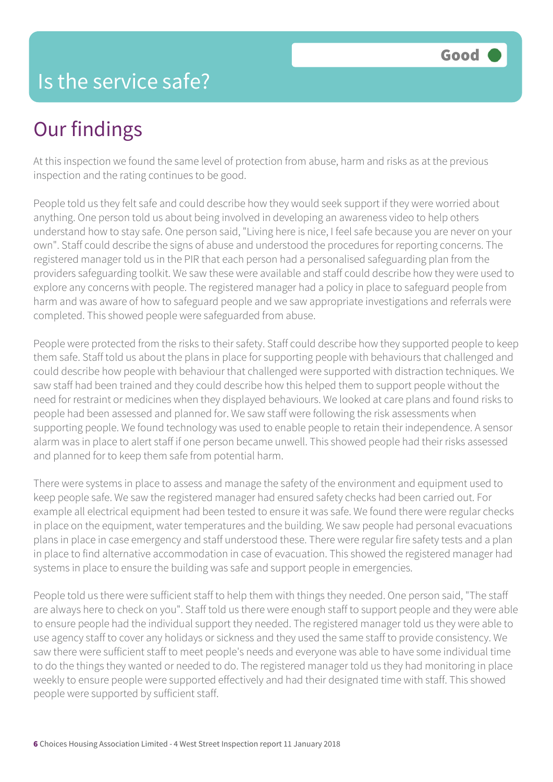## Is the service safe?

# Our findings

At this inspection we found the same level of protection from abuse, harm and risks as at the previous inspection and the rating continues to be good.

People told us they felt safe and could describe how they would seek support if they were worried about anything. One person told us about being involved in developing an awareness video to help others understand how to stay safe. One person said, "Living here is nice, I feel safe because you are never on your own". Staff could describe the signs of abuse and understood the procedures for reporting concerns. The registered manager told us in the PIR that each person had a personalised safeguarding plan from the providers safeguarding toolkit. We saw these were available and staff could describe how they were used to explore any concerns with people. The registered manager had a policy in place to safeguard people from harm and was aware of how to safeguard people and we saw appropriate investigations and referrals were completed. This showed people were safeguarded from abuse.

People were protected from the risks to their safety. Staff could describe how they supported people to keep them safe. Staff told us about the plans in place for supporting people with behaviours that challenged and could describe how people with behaviour that challenged were supported with distraction techniques. We saw staff had been trained and they could describe how this helped them to support people without the need for restraint or medicines when they displayed behaviours. We looked at care plans and found risks to people had been assessed and planned for. We saw staff were following the risk assessments when supporting people. We found technology was used to enable people to retain their independence. A sensor alarm was in place to alert staff if one person became unwell. This showed people had their risks assessed and planned for to keep them safe from potential harm.

There were systems in place to assess and manage the safety of the environment and equipment used to keep people safe. We saw the registered manager had ensured safety checks had been carried out. For example all electrical equipment had been tested to ensure it was safe. We found there were regular checks in place on the equipment, water temperatures and the building. We saw people had personal evacuations plans in place in case emergency and staff understood these. There were regular fire safety tests and a plan in place to find alternative accommodation in case of evacuation. This showed the registered manager had systems in place to ensure the building was safe and support people in emergencies.

People told us there were sufficient staff to help them with things they needed. One person said, "The staff are always here to check on you". Staff told us there were enough staff to support people and they were able to ensure people had the individual support they needed. The registered manager told us they were able to use agency staff to cover any holidays or sickness and they used the same staff to provide consistency. We saw there were sufficient staff to meet people's needs and everyone was able to have some individual time to do the things they wanted or needed to do. The registered manager told us they had monitoring in place weekly to ensure people were supported effectively and had their designated time with staff. This showed people were supported by sufficient staff.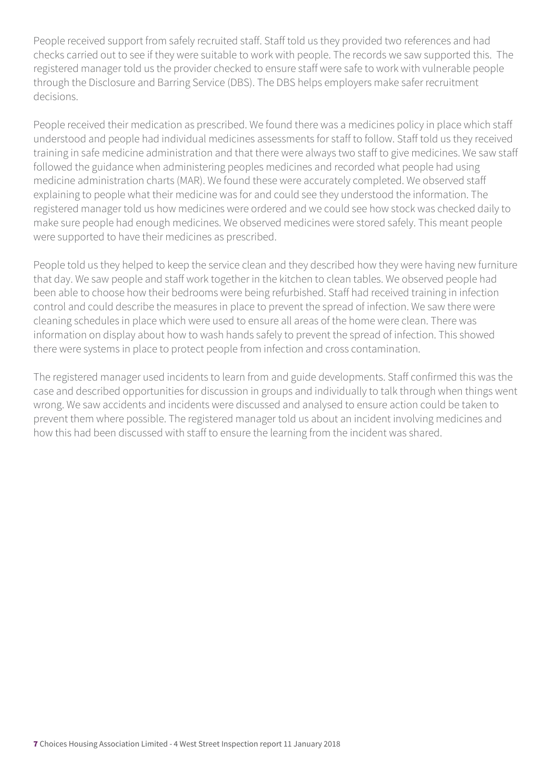People received support from safely recruited staff. Staff told us they provided two references and had checks carried out to see if they were suitable to work with people. The records we saw supported this. The registered manager told us the provider checked to ensure staff were safe to work with vulnerable people through the Disclosure and Barring Service (DBS). The DBS helps employers make safer recruitment decisions.

People received their medication as prescribed. We found there was a medicines policy in place which staff understood and people had individual medicines assessments for staff to follow. Staff told us they received training in safe medicine administration and that there were always two staff to give medicines. We saw staff followed the guidance when administering peoples medicines and recorded what people had using medicine administration charts (MAR). We found these were accurately completed. We observed staff explaining to people what their medicine was for and could see they understood the information. The registered manager told us how medicines were ordered and we could see how stock was checked daily to make sure people had enough medicines. We observed medicines were stored safely. This meant people were supported to have their medicines as prescribed.

People told us they helped to keep the service clean and they described how they were having new furniture that day. We saw people and staff work together in the kitchen to clean tables. We observed people had been able to choose how their bedrooms were being refurbished. Staff had received training in infection control and could describe the measures in place to prevent the spread of infection. We saw there were cleaning schedules in place which were used to ensure all areas of the home were clean. There was information on display about how to wash hands safely to prevent the spread of infection. This showed there were systems in place to protect people from infection and cross contamination.

The registered manager used incidents to learn from and guide developments. Staff confirmed this was the case and described opportunities for discussion in groups and individually to talk through when things went wrong. We saw accidents and incidents were discussed and analysed to ensure action could be taken to prevent them where possible. The registered manager told us about an incident involving medicines and how this had been discussed with staff to ensure the learning from the incident was shared.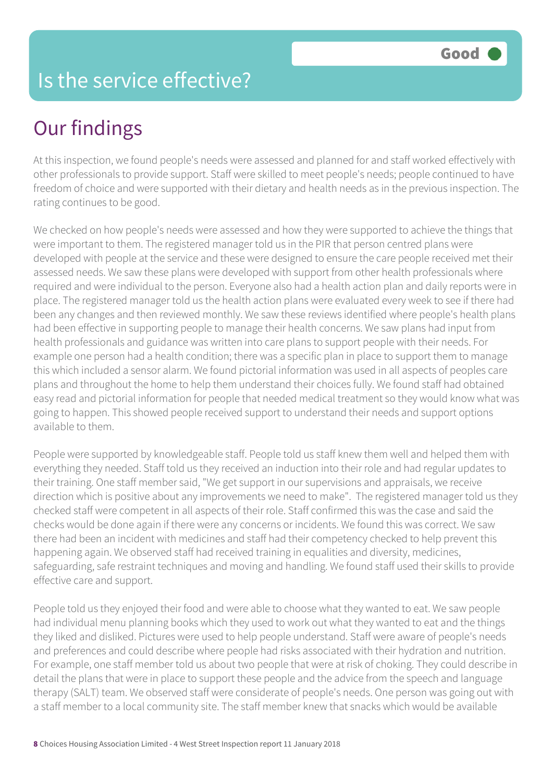## Is the service effective?

# Our findings

At this inspection, we found people's needs were assessed and planned for and staff worked effectively with other professionals to provide support. Staff were skilled to meet people's needs; people continued to have freedom of choice and were supported with their dietary and health needs as in the previous inspection. The rating continues to be good.

We checked on how people's needs were assessed and how they were supported to achieve the things that were important to them. The registered manager told us in the PIR that person centred plans were developed with people at the service and these were designed to ensure the care people received met their assessed needs. We saw these plans were developed with support from other health professionals where required and were individual to the person. Everyone also had a health action plan and daily reports were in place. The registered manager told us the health action plans were evaluated every week to see if there had been any changes and then reviewed monthly. We saw these reviews identified where people's health plans had been effective in supporting people to manage their health concerns. We saw plans had input from health professionals and guidance was written into care plans to support people with their needs. For example one person had a health condition; there was a specific plan in place to support them to manage this which included a sensor alarm. We found pictorial information was used in all aspects of peoples care plans and throughout the home to help them understand their choices fully. We found staff had obtained easy read and pictorial information for people that needed medical treatment so they would know what was going to happen. This showed people received support to understand their needs and support options available to them.

People were supported by knowledgeable staff. People told us staff knew them well and helped them with everything they needed. Staff told us they received an induction into their role and had regular updates to their training. One staff member said, "We get support in our supervisions and appraisals, we receive direction which is positive about any improvements we need to make". The registered manager told us they checked staff were competent in all aspects of their role. Staff confirmed this was the case and said the checks would be done again if there were any concerns or incidents. We found this was correct. We saw there had been an incident with medicines and staff had their competency checked to help prevent this happening again. We observed staff had received training in equalities and diversity, medicines, safeguarding, safe restraint techniques and moving and handling. We found staff used their skills to provide effective care and support.

People told us they enjoyed their food and were able to choose what they wanted to eat. We saw people had individual menu planning books which they used to work out what they wanted to eat and the things they liked and disliked. Pictures were used to help people understand. Staff were aware of people's needs and preferences and could describe where people had risks associated with their hydration and nutrition. For example, one staff member told us about two people that were at risk of choking. They could describe in detail the plans that were in place to support these people and the advice from the speech and language therapy (SALT) team. We observed staff were considerate of people's needs. One person was going out with a staff member to a local community site. The staff member knew that snacks which would be available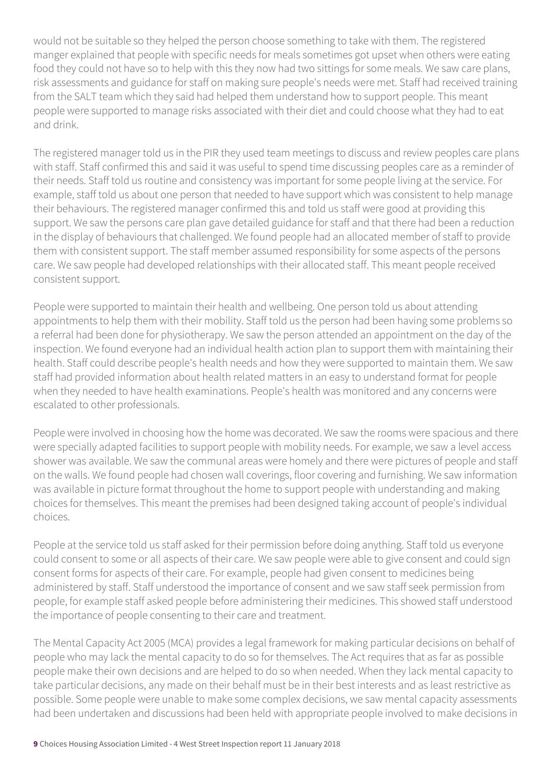would not be suitable so they helped the person choose something to take with them. The registered manger explained that people with specific needs for meals sometimes got upset when others were eating food they could not have so to help with this they now had two sittings for some meals. We saw care plans, risk assessments and guidance for staff on making sure people's needs were met. Staff had received training from the SALT team which they said had helped them understand how to support people. This meant people were supported to manage risks associated with their diet and could choose what they had to eat and drink.

The registered manager told us in the PIR they used team meetings to discuss and review peoples care plans with staff. Staff confirmed this and said it was useful to spend time discussing peoples care as a reminder of their needs. Staff told us routine and consistency was important for some people living at the service. For example, staff told us about one person that needed to have support which was consistent to help manage their behaviours. The registered manager confirmed this and told us staff were good at providing this support. We saw the persons care plan gave detailed guidance for staff and that there had been a reduction in the display of behaviours that challenged. We found people had an allocated member of staff to provide them with consistent support. The staff member assumed responsibility for some aspects of the persons care. We saw people had developed relationships with their allocated staff. This meant people received consistent support.

People were supported to maintain their health and wellbeing. One person told us about attending appointments to help them with their mobility. Staff told us the person had been having some problems so a referral had been done for physiotherapy. We saw the person attended an appointment on the day of the inspection. We found everyone had an individual health action plan to support them with maintaining their health. Staff could describe people's health needs and how they were supported to maintain them. We saw staff had provided information about health related matters in an easy to understand format for people when they needed to have health examinations. People's health was monitored and any concerns were escalated to other professionals.

People were involved in choosing how the home was decorated. We saw the rooms were spacious and there were specially adapted facilities to support people with mobility needs. For example, we saw a level access shower was available. We saw the communal areas were homely and there were pictures of people and staff on the walls. We found people had chosen wall coverings, floor covering and furnishing. We saw information was available in picture format throughout the home to support people with understanding and making choices for themselves. This meant the premises had been designed taking account of people's individual choices.

People at the service told us staff asked for their permission before doing anything. Staff told us everyone could consent to some or all aspects of their care. We saw people were able to give consent and could sign consent forms for aspects of their care. For example, people had given consent to medicines being administered by staff. Staff understood the importance of consent and we saw staff seek permission from people, for example staff asked people before administering their medicines. This showed staff understood the importance of people consenting to their care and treatment.

The Mental Capacity Act 2005 (MCA) provides a legal framework for making particular decisions on behalf of people who may lack the mental capacity to do so for themselves. The Act requires that as far as possible people make their own decisions and are helped to do so when needed. When they lack mental capacity to take particular decisions, any made on their behalf must be in their best interests and as least restrictive as possible. Some people were unable to make some complex decisions, we saw mental capacity assessments had been undertaken and discussions had been held with appropriate people involved to make decisions in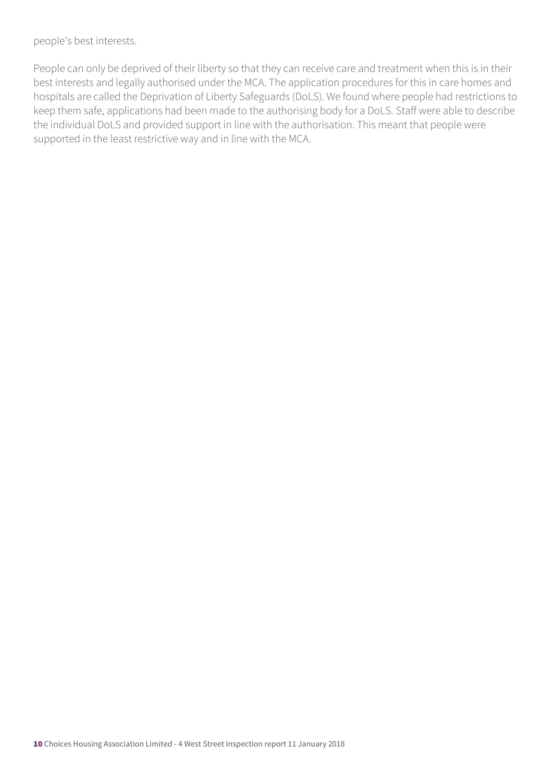people's best interests.

People can only be deprived of their liberty so that they can receive care and treatment when this is in their best interests and legally authorised under the MCA. The application procedures for this in care homes and hospitals are called the Deprivation of Liberty Safeguards (DoLS). We found where people had restrictions to keep them safe, applications had been made to the authorising body for a DoLS. Staff were able to describe the individual DoLS and provided support in line with the authorisation. This meant that people were supported in the least restrictive way and in line with the MCA.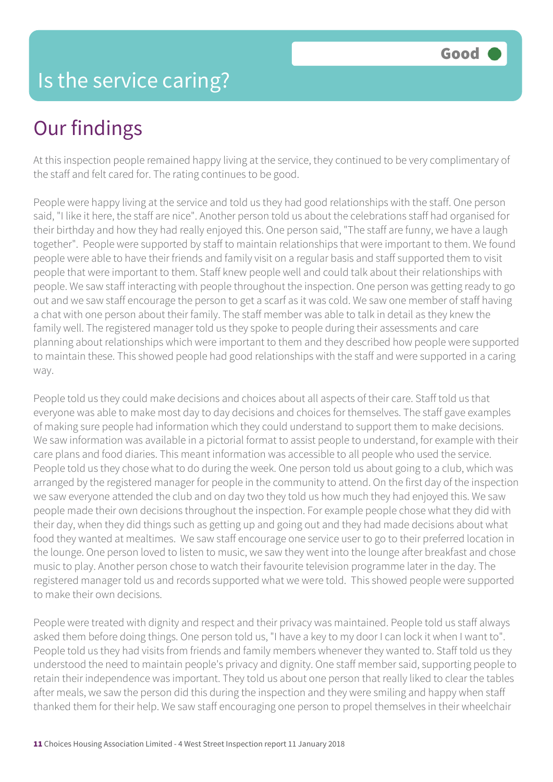# Our findings

At this inspection people remained happy living at the service, they continued to be very complimentary of the staff and felt cared for. The rating continues to be good.

People were happy living at the service and told us they had good relationships with the staff. One person said, "I like it here, the staff are nice". Another person told us about the celebrations staff had organised for their birthday and how they had really enjoyed this. One person said, "The staff are funny, we have a laugh together". People were supported by staff to maintain relationships that were important to them. We found people were able to have their friends and family visit on a regular basis and staff supported them to visit people that were important to them. Staff knew people well and could talk about their relationships with people. We saw staff interacting with people throughout the inspection. One person was getting ready to go out and we saw staff encourage the person to get a scarf as it was cold. We saw one member of staff having a chat with one person about their family. The staff member was able to talk in detail as they knew the family well. The registered manager told us they spoke to people during their assessments and care planning about relationships which were important to them and they described how people were supported to maintain these. This showed people had good relationships with the staff and were supported in a caring way.

People told us they could make decisions and choices about all aspects of their care. Staff told us that everyone was able to make most day to day decisions and choices for themselves. The staff gave examples of making sure people had information which they could understand to support them to make decisions. We saw information was available in a pictorial format to assist people to understand, for example with their care plans and food diaries. This meant information was accessible to all people who used the service. People told us they chose what to do during the week. One person told us about going to a club, which was arranged by the registered manager for people in the community to attend. On the first day of the inspection we saw everyone attended the club and on day two they told us how much they had enjoyed this. We saw people made their own decisions throughout the inspection. For example people chose what they did with their day, when they did things such as getting up and going out and they had made decisions about what food they wanted at mealtimes. We saw staff encourage one service user to go to their preferred location in the lounge. One person loved to listen to music, we saw they went into the lounge after breakfast and chose music to play. Another person chose to watch their favourite television programme later in the day. The registered manager told us and records supported what we were told. This showed people were supported to make their own decisions.

People were treated with dignity and respect and their privacy was maintained. People told us staff always asked them before doing things. One person told us, "I have a key to my door I can lock it when I want to". People told us they had visits from friends and family members whenever they wanted to. Staff told us they understood the need to maintain people's privacy and dignity. One staff member said, supporting people to retain their independence was important. They told us about one person that really liked to clear the tables after meals, we saw the person did this during the inspection and they were smiling and happy when staff thanked them for their help. We saw staff encouraging one person to propel themselves in their wheelchair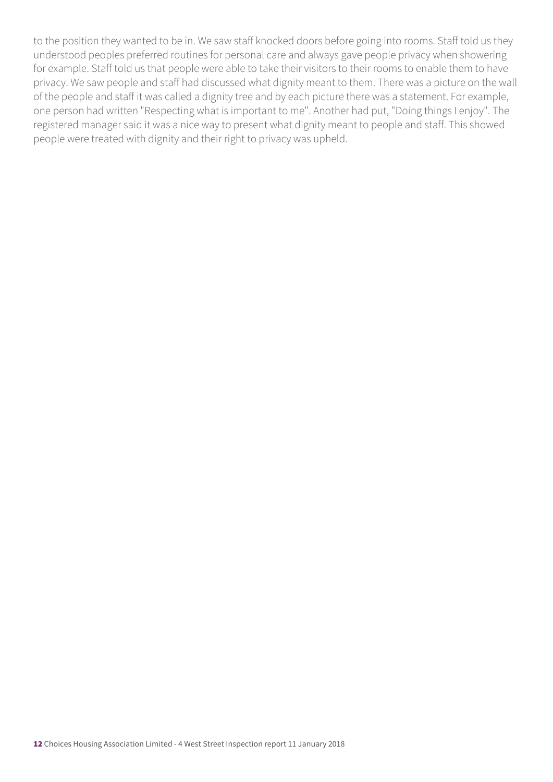to the position they wanted to be in. We saw staff knocked doors before going into rooms. Staff told us they understood peoples preferred routines for personal care and always gave people privacy when showering for example. Staff told us that people were able to take their visitors to their rooms to enable them to have privacy. We saw people and staff had discussed what dignity meant to them. There was a picture on the wall of the people and staff it was called a dignity tree and by each picture there was a statement. For example, one person had written "Respecting what is important to me". Another had put, "Doing things I enjoy". The registered manager said it was a nice way to present what dignity meant to people and staff. This showed people were treated with dignity and their right to privacy was upheld.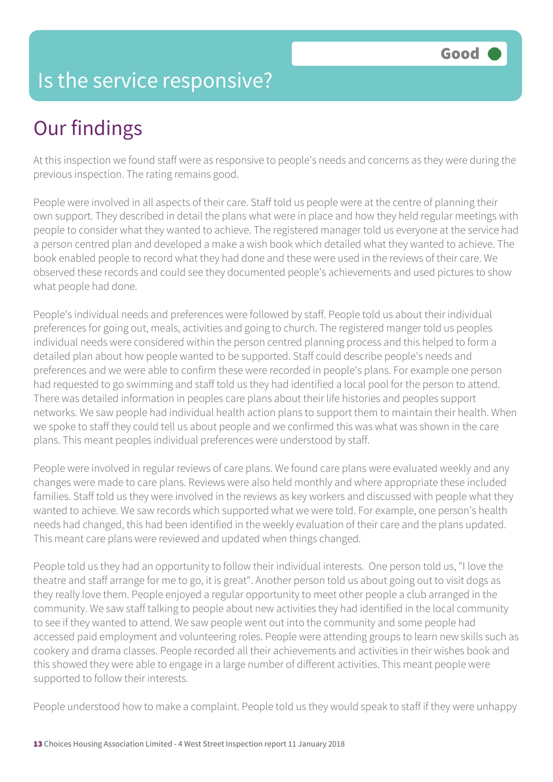## Is the service responsive?

# Our findings

At this inspection we found staff were as responsive to people's needs and concerns as they were during the previous inspection. The rating remains good.

People were involved in all aspects of their care. Staff told us people were at the centre of planning their own support. They described in detail the plans what were in place and how they held regular meetings with people to consider what they wanted to achieve. The registered manager told us everyone at the service had a person centred plan and developed a make a wish book which detailed what they wanted to achieve. The book enabled people to record what they had done and these were used in the reviews of their care. We observed these records and could see they documented people's achievements and used pictures to show what people had done.

People's individual needs and preferences were followed by staff. People told us about their individual preferences for going out, meals, activities and going to church. The registered manger told us peoples individual needs were considered within the person centred planning process and this helped to form a detailed plan about how people wanted to be supported. Staff could describe people's needs and preferences and we were able to confirm these were recorded in people's plans. For example one person had requested to go swimming and staff told us they had identified a local pool for the person to attend. There was detailed information in peoples care plans about their life histories and peoples support networks. We saw people had individual health action plans to support them to maintain their health. When we spoke to staff they could tell us about people and we confirmed this was what was shown in the care plans. This meant peoples individual preferences were understood by staff.

People were involved in regular reviews of care plans. We found care plans were evaluated weekly and any changes were made to care plans. Reviews were also held monthly and where appropriate these included families. Staff told us they were involved in the reviews as key workers and discussed with people what they wanted to achieve. We saw records which supported what we were told. For example, one person's health needs had changed, this had been identified in the weekly evaluation of their care and the plans updated. This meant care plans were reviewed and updated when things changed.

People told us they had an opportunity to follow their individual interests. One person told us, "I love the theatre and staff arrange for me to go, it is great". Another person told us about going out to visit dogs as they really love them. People enjoyed a regular opportunity to meet other people a club arranged in the community. We saw staff talking to people about new activities they had identified in the local community to see if they wanted to attend. We saw people went out into the community and some people had accessed paid employment and volunteering roles. People were attending groups to learn new skills such as cookery and drama classes. People recorded all their achievements and activities in their wishes book and this showed they were able to engage in a large number of different activities. This meant people were supported to follow their interests.

People understood how to make a complaint. People told us they would speak to staff if they were unhappy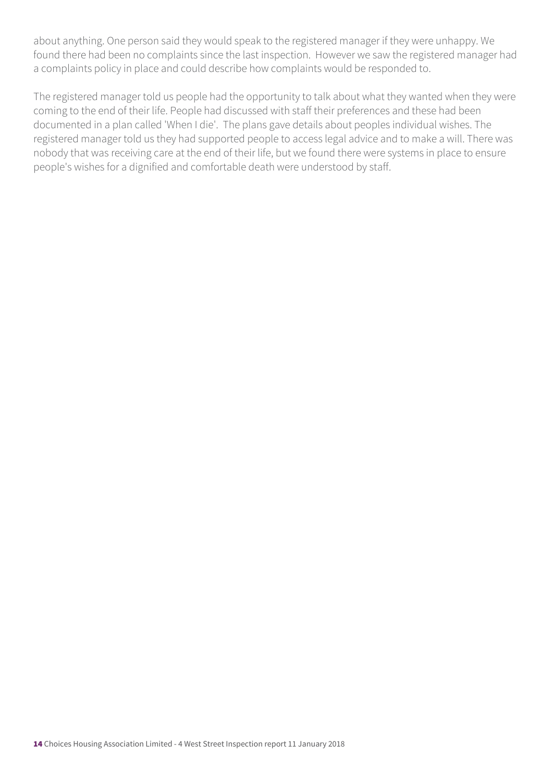about anything. One person said they would speak to the registered manager if they were unhappy. We found there had been no complaints since the last inspection. However we saw the registered manager had a complaints policy in place and could describe how complaints would be responded to.

The registered manager told us people had the opportunity to talk about what they wanted when they were coming to the end of their life. People had discussed with staff their preferences and these had been documented in a plan called 'When I die'. The plans gave details about peoples individual wishes. The registered manager told us they had supported people to access legal advice and to make a will. There was nobody that was receiving care at the end of their life, but we found there were systems in place to ensure people's wishes for a dignified and comfortable death were understood by staff.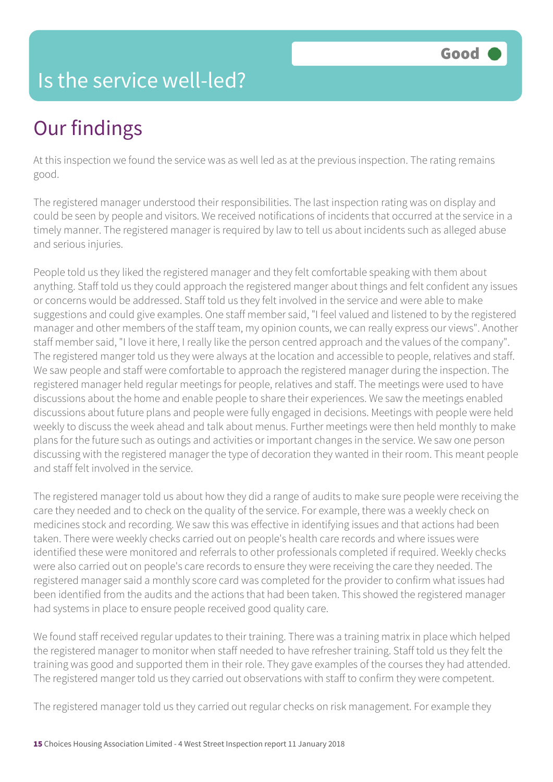## Is the service well-led?

# Our findings

At this inspection we found the service was as well led as at the previous inspection. The rating remains good.

The registered manager understood their responsibilities. The last inspection rating was on display and could be seen by people and visitors. We received notifications of incidents that occurred at the service in a timely manner. The registered manager is required by law to tell us about incidents such as alleged abuse and serious injuries.

People told us they liked the registered manager and they felt comfortable speaking with them about anything. Staff told us they could approach the registered manger about things and felt confident any issues or concerns would be addressed. Staff told us they felt involved in the service and were able to make suggestions and could give examples. One staff member said, "I feel valued and listened to by the registered manager and other members of the staff team, my opinion counts, we can really express our views". Another staff member said, "I love it here, I really like the person centred approach and the values of the company". The registered manger told us they were always at the location and accessible to people, relatives and staff. We saw people and staff were comfortable to approach the registered manager during the inspection. The registered manager held regular meetings for people, relatives and staff. The meetings were used to have discussions about the home and enable people to share their experiences. We saw the meetings enabled discussions about future plans and people were fully engaged in decisions. Meetings with people were held weekly to discuss the week ahead and talk about menus. Further meetings were then held monthly to make plans for the future such as outings and activities or important changes in the service. We saw one person discussing with the registered manager the type of decoration they wanted in their room. This meant people and staff felt involved in the service.

The registered manager told us about how they did a range of audits to make sure people were receiving the care they needed and to check on the quality of the service. For example, there was a weekly check on medicines stock and recording. We saw this was effective in identifying issues and that actions had been taken. There were weekly checks carried out on people's health care records and where issues were identified these were monitored and referrals to other professionals completed if required. Weekly checks were also carried out on people's care records to ensure they were receiving the care they needed. The registered manager said a monthly score card was completed for the provider to confirm what issues had been identified from the audits and the actions that had been taken. This showed the registered manager had systems in place to ensure people received good quality care.

We found staff received regular updates to their training. There was a training matrix in place which helped the registered manager to monitor when staff needed to have refresher training. Staff told us they felt the training was good and supported them in their role. They gave examples of the courses they had attended. The registered manger told us they carried out observations with staff to confirm they were competent.

The registered manager told us they carried out regular checks on risk management. For example they